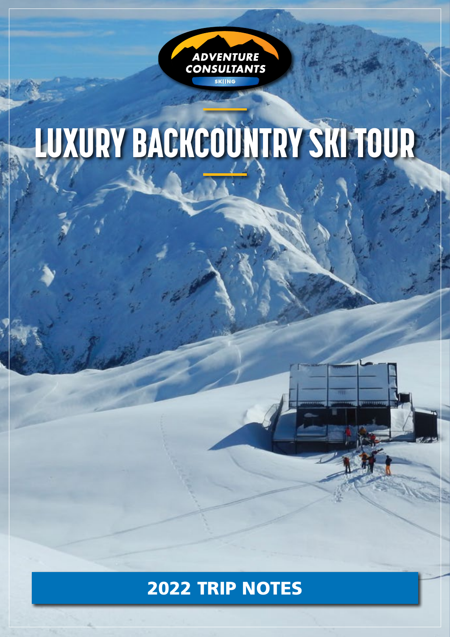

# LUXURY BACKCOUNTRY SKI TOUR

# 2022 TRIP NOTES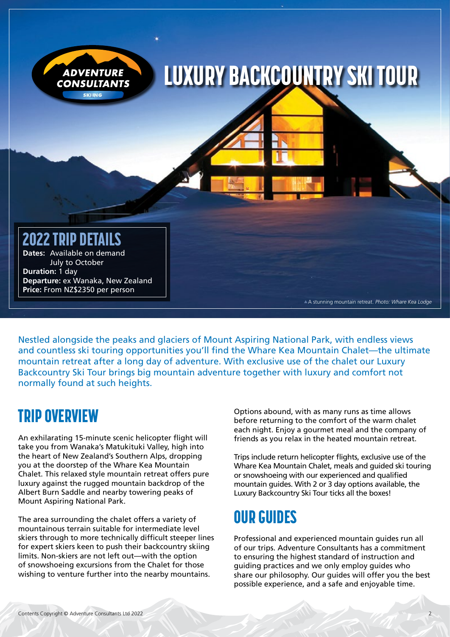

Nestled alongside the peaks and glaciers of Mount Aspiring National Park, with endless views and countless ski touring opportunities you'll find the Whare Kea Mountain Chalet—the ultimate mountain retreat after a long day of adventure. With exclusive use of the chalet our Luxury Backcountry Ski Tour brings big mountain adventure together with luxury and comfort not normally found at such heights.

#### TRIP OVERVIEW

An exhilarating 15-minute scenic helicopter flight will take you from Wanaka's Matukituki Valley, high into the heart of New Zealand's Southern Alps, dropping you at the doorstep of the Whare Kea Mountain Chalet. This relaxed style mountain retreat offers pure luxury against the rugged mountain backdrop of the Albert Burn Saddle and nearby towering peaks of Mount Aspiring National Park.

The area surrounding the chalet offers a variety of mountainous terrain suitable for intermediate level skiers through to more technically difficult steeper lines for expert skiers keen to push their backcountry skiing limits. Non-skiers are not left out—with the option of snowshoeing excursions from the Chalet for those wishing to venture further into the nearby mountains.

Options abound, with as many runs as time allows before returning to the comfort of the warm chalet each night. Enjoy a gourmet meal and the company of friends as you relax in the heated mountain retreat.

Trips include return helicopter flights, exclusive use of the Whare Kea Mountain Chalet, meals and guided ski touring or snowshoeing with our experienced and qualified mountain guides. With 2 or 3 day options available, the Luxury Backcountry Ski Tour ticks all the boxes!

## OUR GUIDES

Professional and experienced mountain guides run all of our trips. Adventure Consultants has a commitment to ensuring the highest standard of instruction and guiding practices and we only employ guides who share our philosophy. Our guides will offer you the best possible experience, and a safe and enjoyable time.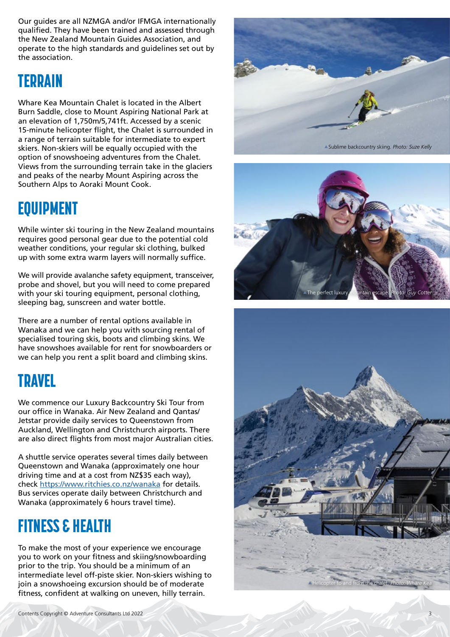Our guides are all NZMGA and/or IFMGA internationally qualified. They have been trained and assessed through the New Zealand Mountain Guides Association, and operate to the high standards and guidelines set out by the association.

#### TERRAIN

Whare Kea Mountain Chalet is located in the Albert Burn Saddle, close to Mount Aspiring National Park at an elevation of 1,750m/5,741ft. Accessed by a scenic 15-minute helicopter flight, the Chalet is surrounded in a range of terrain suitable for intermediate to expert skiers. Non-skiers will be equally occupied with the option of snowshoeing adventures from the Chalet. Views from the surrounding terrain take in the glaciers and peaks of the nearby Mount Aspiring across the Southern Alps to Aoraki Mount Cook.

#### EQUIPMENT

While winter ski touring in the New Zealand mountains requires good personal gear due to the potential cold weather conditions, your regular ski clothing, bulked up with some extra warm layers will normally suffice.

We will provide avalanche safety equipment, transceiver, probe and shovel, but you will need to come prepared with your ski touring equipment, personal clothing, sleeping bag, sunscreen and water bottle.

There are a number of rental options available in Wanaka and we can help you with sourcing rental of specialised touring skis, boots and climbing skins. We have snowshoes available for rent for snowboarders or we can help you rent a split board and climbing skins.

#### TRAVEL

We commence our Luxury Backcountry Ski Tour from our office in Wanaka. Air New Zealand and Qantas/ Jetstar provide daily services to Queenstown from Auckland, Wellington and Christchurch airports. There are also direct flights from most major Australian cities.

A shuttle service operates several times daily between Queenstown and Wanaka (approximately one hour driving time and at a cost from NZ\$35 each way), check <https://www.ritchies.co.nz/wanaka> for details. Bus services operate daily between Christchurch and Wanaka (approximately 6 hours travel time).

## FITNESS & HEALTH

To make the most of your experience we encourage you to work on your fitness and skiing/snowboarding prior to the trip. You should be a minimum of an intermediate level off-piste skier. Non-skiers wishing to join a snowshoeing excursion should be of moderate fitness, confident at walking on uneven, hilly terrain.